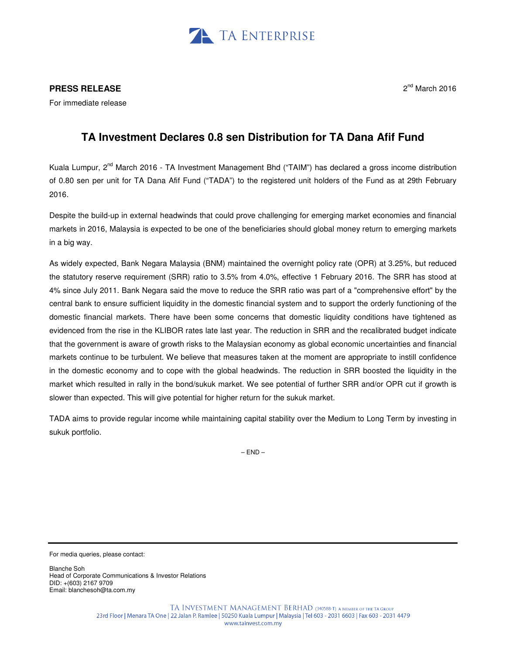

## **PRESS RELEASE**

For immediate release

## 2<sup>nd</sup> March 2016

## **TA Investment Declares 0.8 sen Distribution for TA Dana Afif Fund**

Kuala Lumpur, 2<sup>nd</sup> March 2016 - TA Investment Management Bhd ("TAIM") has declared a gross income distribution of 0.80 sen per unit for TA Dana Afif Fund ("TADA") to the registered unit holders of the Fund as at 29th February 2016.

Despite the build-up in external headwinds that could prove challenging for emerging market economies and financial markets in 2016, Malaysia is expected to be one of the beneficiaries should global money return to emerging markets in a big way.

As widely expected, Bank Negara Malaysia (BNM) maintained the overnight policy rate (OPR) at 3.25%, but reduced the statutory reserve requirement (SRR) ratio to 3.5% from 4.0%, effective 1 February 2016. The SRR has stood at 4% since July 2011. Bank Negara said the move to reduce the SRR ratio was part of a "comprehensive effort" by the central bank to ensure sufficient liquidity in the domestic financial system and to support the orderly functioning of the domestic financial markets. There have been some concerns that domestic liquidity conditions have tightened as evidenced from the rise in the KLIBOR rates late last year. The reduction in SRR and the recalibrated budget indicate that the government is aware of growth risks to the Malaysian economy as global economic uncertainties and financial markets continue to be turbulent. We believe that measures taken at the moment are appropriate to instill confidence in the domestic economy and to cope with the global headwinds. The reduction in SRR boosted the liquidity in the market which resulted in rally in the bond/sukuk market. We see potential of further SRR and/or OPR cut if growth is slower than expected. This will give potential for higher return for the sukuk market.

TADA aims to provide regular income while maintaining capital stability over the Medium to Long Term by investing in sukuk portfolio.

 $-$  FND $-$ 

For media queries, please contact:

Blanche Soh Head of Corporate Communications & Investor Relations DID: +(603) 2167 9709 Email: blanchesoh@ta.com.my